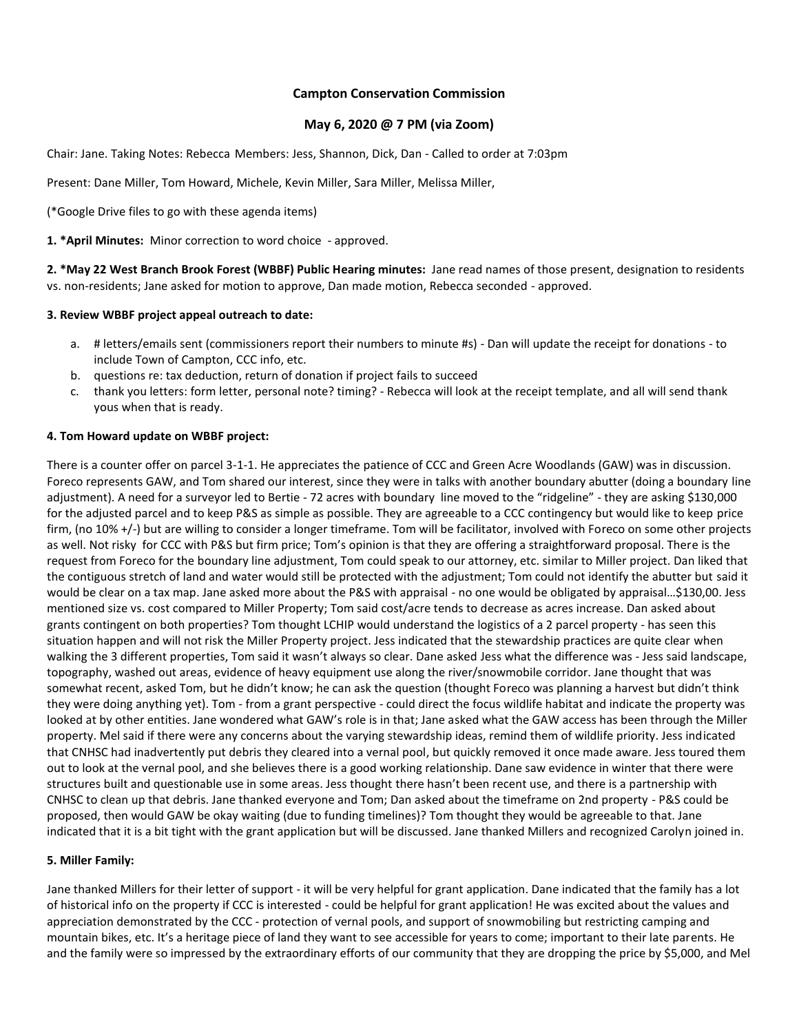## **Campton Conservation Commission**

## **May 6, 2020 @ 7 PM (via Zoom)**

Chair: Jane. Taking Notes: Rebecca Members: Jess, Shannon, Dick, Dan - Called to order at 7:03pm

Present: Dane Miller, Tom Howard, Michele, Kevin Miller, Sara Miller, Melissa Miller,

(\*Google Drive files to go with these agenda items)

**1. \*April Minutes:** Minor correction to word choice - approved.

**2. \*May 22 West Branch Brook Forest (WBBF) Public Hearing minutes:** Jane read names of those present, designation to residents vs. non-residents; Jane asked for motion to approve, Dan made motion, Rebecca seconded - approved.

# **3. Review WBBF project appeal outreach to date:**

- a. # letters/emails sent (commissioners report their numbers to minute #s) Dan will update the receipt for donations to include Town of Campton, CCC info, etc.
- b. questions re: tax deduction, return of donation if project fails to succeed
- c. thank you letters: form letter, personal note? timing? Rebecca will look at the receipt template, and all will send thank yous when that is ready.

# **4. Tom Howard update on WBBF project:**

There is a counter offer on parcel 3-1-1. He appreciates the patience of CCC and Green Acre Woodlands (GAW) was in discussion. Foreco represents GAW, and Tom shared our interest, since they were in talks with another boundary abutter (doing a boundary line adjustment). A need for a surveyor led to Bertie - 72 acres with boundary line moved to the "ridgeline" - they are asking \$130,000 for the adjusted parcel and to keep P&S as simple as possible. They are agreeable to a CCC contingency but would like to keep price firm, (no 10% +/-) but are willing to consider a longer timeframe. Tom will be facilitator, involved with Foreco on some other projects as well. Not risky for CCC with P&S but firm price; Tom's opinion is that they are offering a straightforward proposal. There is the request from Foreco for the boundary line adjustment, Tom could speak to our attorney, etc. similar to Miller project. Dan liked that the contiguous stretch of land and water would still be protected with the adjustment; Tom could not identify the abutter but said it would be clear on a tax map. Jane asked more about the P&S with appraisal - no one would be obligated by appraisal…\$130,00. Jess mentioned size vs. cost compared to Miller Property; Tom said cost/acre tends to decrease as acres increase. Dan asked about grants contingent on both properties? Tom thought LCHIP would understand the logistics of a 2 parcel property - has seen this situation happen and will not risk the Miller Property project. Jess indicated that the stewardship practices are quite clear when walking the 3 different properties, Tom said it wasn't always so clear. Dane asked Jess what the difference was - Jess said landscape, topography, washed out areas, evidence of heavy equipment use along the river/snowmobile corridor. Jane thought that was somewhat recent, asked Tom, but he didn't know; he can ask the question (thought Foreco was planning a harvest but didn't think they were doing anything yet). Tom - from a grant perspective - could direct the focus wildlife habitat and indicate the property was looked at by other entities. Jane wondered what GAW's role is in that; Jane asked what the GAW access has been through the Miller property. Mel said if there were any concerns about the varying stewardship ideas, remind them of wildlife priority. Jess indicated that CNHSC had inadvertently put debris they cleared into a vernal pool, but quickly removed it once made aware. Jess toured them out to look at the vernal pool, and she believes there is a good working relationship. Dane saw evidence in winter that there were structures built and questionable use in some areas. Jess thought there hasn't been recent use, and there is a partnership with CNHSC to clean up that debris. Jane thanked everyone and Tom; Dan asked about the timeframe on 2nd property - P&S could be proposed, then would GAW be okay waiting (due to funding timelines)? Tom thought they would be agreeable to that. Jane indicated that it is a bit tight with the grant application but will be discussed. Jane thanked Millers and recognized Carolyn joined in.

## **5. Miller Family:**

Jane thanked Millers for their letter of support - it will be very helpful for grant application. Dane indicated that the family has a lot of historical info on the property if CCC is interested - could be helpful for grant application! He was excited about the values and appreciation demonstrated by the CCC - protection of vernal pools, and support of snowmobiling but restricting camping and mountain bikes, etc. It's a heritage piece of land they want to see accessible for years to come; important to their late parents. He and the family were so impressed by the extraordinary efforts of our community that they are dropping the price by \$5,000, and Mel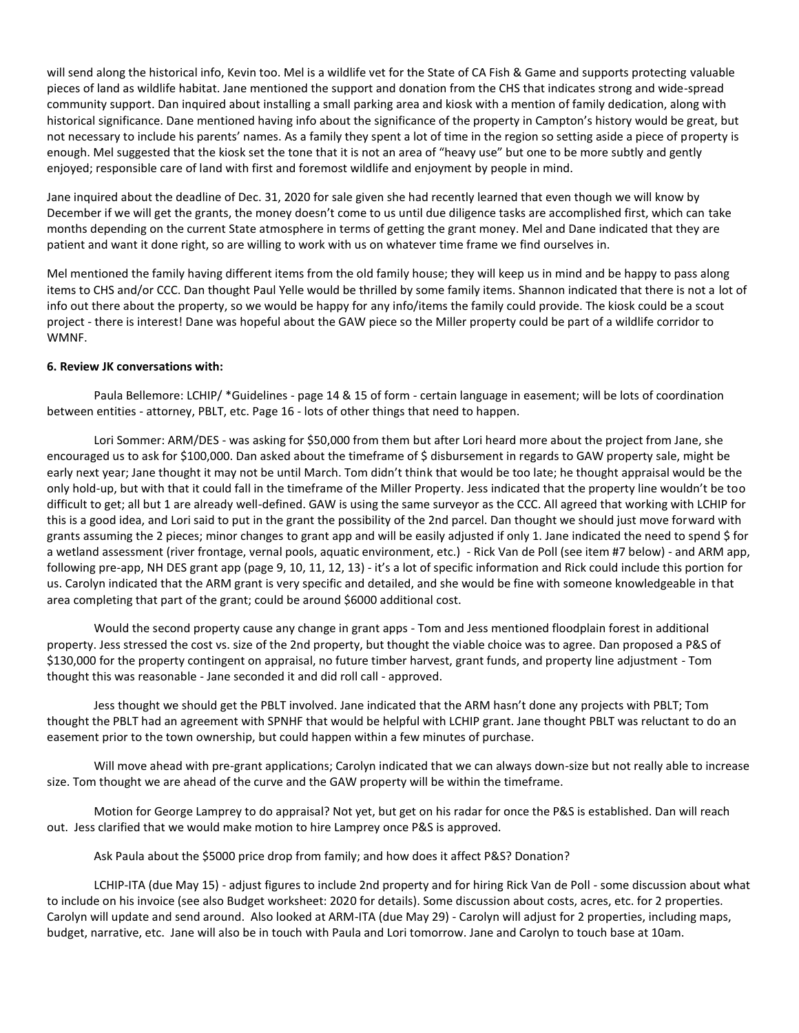will send along the historical info, Kevin too. Mel is a wildlife vet for the State of CA Fish & Game and supports protecting valuable pieces of land as wildlife habitat. Jane mentioned the support and donation from the CHS that indicates strong and wide-spread community support. Dan inquired about installing a small parking area and kiosk with a mention of family dedication, along with historical significance. Dane mentioned having info about the significance of the property in Campton's history would be great, but not necessary to include his parents' names. As a family they spent a lot of time in the region so setting aside a piece of property is enough. Mel suggested that the kiosk set the tone that it is not an area of "heavy use" but one to be more subtly and gently enjoyed; responsible care of land with first and foremost wildlife and enjoyment by people in mind.

Jane inquired about the deadline of Dec. 31, 2020 for sale given she had recently learned that even though we will know by December if we will get the grants, the money doesn't come to us until due diligence tasks are accomplished first, which can take months depending on the current State atmosphere in terms of getting the grant money. Mel and Dane indicated that they are patient and want it done right, so are willing to work with us on whatever time frame we find ourselves in.

Mel mentioned the family having different items from the old family house; they will keep us in mind and be happy to pass along items to CHS and/or CCC. Dan thought Paul Yelle would be thrilled by some family items. Shannon indicated that there is not a lot of info out there about the property, so we would be happy for any info/items the family could provide. The kiosk could be a scout project - there is interest! Dane was hopeful about the GAW piece so the Miller property could be part of a wildlife corridor to WMNF.

### **6. Review JK conversations with:**

Paula Bellemore: LCHIP/ \*Guidelines - page 14 & 15 of form - certain language in easement; will be lots of coordination between entities - attorney, PBLT, etc. Page 16 - lots of other things that need to happen.

Lori Sommer: ARM/DES - was asking for \$50,000 from them but after Lori heard more about the project from Jane, she encouraged us to ask for \$100,000. Dan asked about the timeframe of \$ disbursement in regards to GAW property sale, might be early next year; Jane thought it may not be until March. Tom didn't think that would be too late; he thought appraisal would be the only hold-up, but with that it could fall in the timeframe of the Miller Property. Jess indicated that the property line wouldn't be too difficult to get; all but 1 are already well-defined. GAW is using the same surveyor as the CCC. All agreed that working with LCHIP for this is a good idea, and Lori said to put in the grant the possibility of the 2nd parcel. Dan thought we should just move forward with grants assuming the 2 pieces; minor changes to grant app and will be easily adjusted if only 1. Jane indicated the need to spend \$ for a wetland assessment (river frontage, vernal pools, aquatic environment, etc.) - Rick Van de Poll (see item #7 below) - and ARM app, following pre-app, NH DES grant app (page 9, 10, 11, 12, 13) - it's a lot of specific information and Rick could include this portion for us. Carolyn indicated that the ARM grant is very specific and detailed, and she would be fine with someone knowledgeable in that area completing that part of the grant; could be around \$6000 additional cost.

Would the second property cause any change in grant apps - Tom and Jess mentioned floodplain forest in additional property. Jess stressed the cost vs. size of the 2nd property, but thought the viable choice was to agree. Dan proposed a P&S of \$130,000 for the property contingent on appraisal, no future timber harvest, grant funds, and property line adjustment - Tom thought this was reasonable - Jane seconded it and did roll call - approved.

Jess thought we should get the PBLT involved. Jane indicated that the ARM hasn't done any projects with PBLT; Tom thought the PBLT had an agreement with SPNHF that would be helpful with LCHIP grant. Jane thought PBLT was reluctant to do an easement prior to the town ownership, but could happen within a few minutes of purchase.

Will move ahead with pre-grant applications; Carolyn indicated that we can always down-size but not really able to increase size. Tom thought we are ahead of the curve and the GAW property will be within the timeframe.

Motion for George Lamprey to do appraisal? Not yet, but get on his radar for once the P&S is established. Dan will reach out. Jess clarified that we would make motion to hire Lamprey once P&S is approved.

Ask Paula about the \$5000 price drop from family; and how does it affect P&S? Donation?

LCHIP-ITA (due May 15) - adjust figures to include 2nd property and for hiring Rick Van de Poll - some discussion about what to include on his invoice (see also Budget worksheet: 2020 for details). Some discussion about costs, acres, etc. for 2 properties. Carolyn will update and send around. Also looked at ARM-ITA (due May 29) - Carolyn will adjust for 2 properties, including maps, budget, narrative, etc. Jane will also be in touch with Paula and Lori tomorrow. Jane and Carolyn to touch base at 10am.